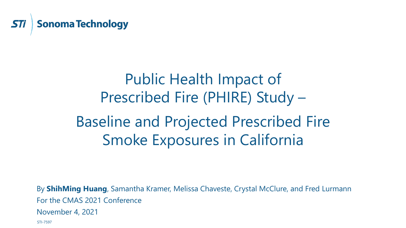

#### Public Health Impact of Prescribed Fire (PHIRE) Study – Baseline and Projected Prescribed Fire Smoke Exposures in California

By **ShihMing Huang**, Samantha Kramer, Melissa Chaveste, Crystal McClure, and Fred Lurmann For the CMAS 2021 Conference November 4, 2021 STI-7597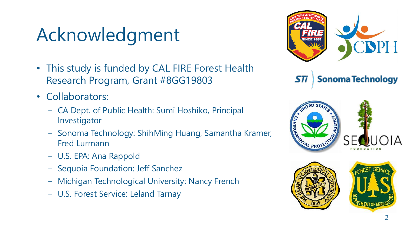# Acknowledgment

- This study is funded by CAL FIRE Forest Health Research Program, Grant #8GG19803
- Collaborators:
	- ‒ CA Dept. of Public Health: Sumi Hoshiko, Principal Investigator
	- ‒ Sonoma Technology: ShihMing Huang, Samantha Kramer, Fred Lurmann
	- ‒ U.S. EPA: Ana Rappold
	- Sequoia Foundation: Jeff Sanchez
	- ‒ Michigan Technological University: Nancy French
	- ‒ U.S. Forest Service: Leland Tarnay

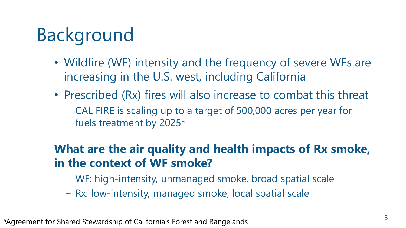# Background

- Wildfire (WF) intensity and the frequency of severe WFs are increasing in the U.S. west, including California
- Prescribed (Rx) fires will also increase to combat this threat
	- ‒ CAL FIRE is scaling up to a target of 500,000 acres per year for fuels treatment by 2025<sup>a</sup>

#### **What are the air quality and health impacts of Rx smoke, in the context of WF smoke?**

- ‒ WF: high-intensity, unmanaged smoke, broad spatial scale
- Rx: low-intensity, managed smoke, local spatial scale

aAgreement for Shared Stewardship of California's Forest and Rangelands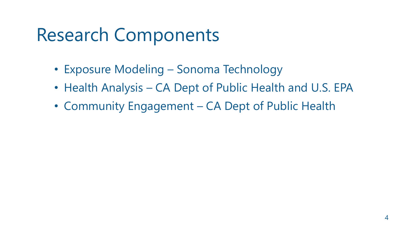#### Research Components

- Exposure Modeling Sonoma Technology
- Health Analysis CA Dept of Public Health and U.S. EPA
- Community Engagement CA Dept of Public Health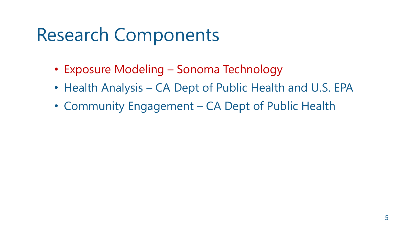#### Research Components

- Exposure Modeling Sonoma Technology
- Health Analysis CA Dept of Public Health and U.S. EPA
- Community Engagement CA Dept of Public Health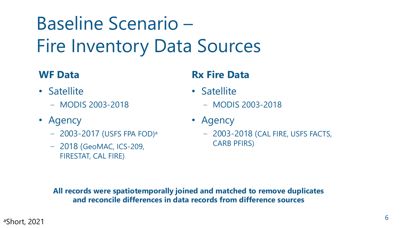## Baseline Scenario – Fire Inventory Data Sources

#### **WF Data**

- Satellite
	- ‒ MODIS 2003-2018
- Agency
	- ‒ 2003-2017 (USFS FPA FOD)<sup>a</sup>
	- ‒ 2018 (GeoMAC, ICS-209, FIRESTAT, CAL FIRE)

#### **Rx Fire Data**

- Satellite
	- ‒ MODIS 2003-2018
- Agency
	- ‒ 2003-2018 (CAL FIRE, USFS FACTS, CARB PFIRS)

**All records were spatiotemporally joined and matched to remove duplicates and reconcile differences in data records from difference sources**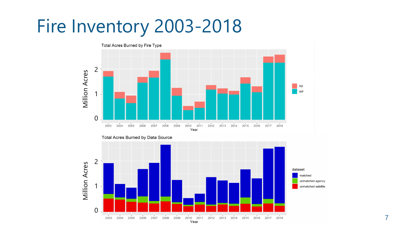#### Fire Inventory 2003-2018





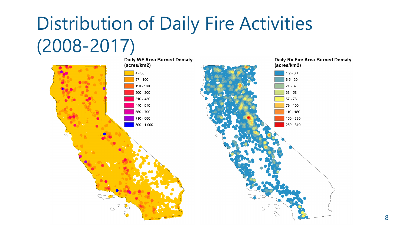# Distribution of Daily Fire Activities (2008-2017)





**Daily Rx Fire Area Burned Density** (acres/km2)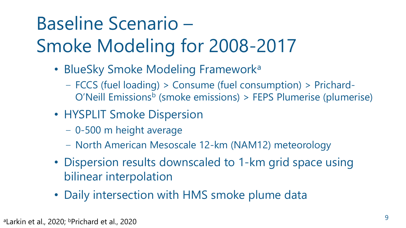# Baseline Scenario – Smoke Modeling for 2008-2017

- BlueSky Smoke Modeling Framework<sup>a</sup>
	- ‒ FCCS (fuel loading) > Consume (fuel consumption) > Prichard-O'Neill Emissions<sup>b</sup> (smoke emissions) > FEPS Plumerise (plumerise)
- HYSPLIT Smoke Dispersion
	- ‒ 0-500 m height average
	- ‒ North American Mesoscale 12-km (NAM12) meteorology
- Dispersion results downscaled to 1-km grid space using bilinear interpolation
- Daily intersection with HMS smoke plume data

<sup>a</sup>Larkin et al., 2020; <sup>b</sup>Prichard et al., 2020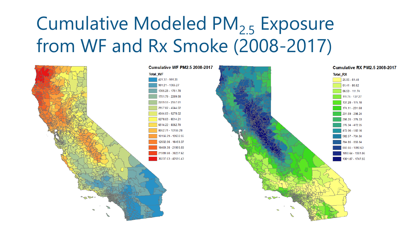## Cumulative Modeled PM<sub>2.5</sub> Exposure from WF and Rx Smoke (2008-2017)

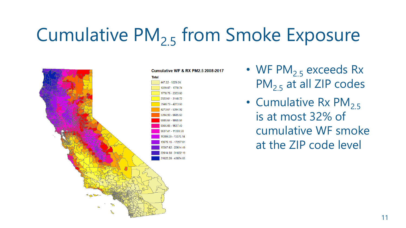# Cumulative PM<sub>2.5</sub> from Smoke Exposure



- WF  $PM_{2,5}$  exceeds Rx  $PM_{2,5}$  at all ZIP codes
- Cumulative Rx PM<sub>2.5</sub> is at most 32% of cumulative WF smoke at the ZIP code level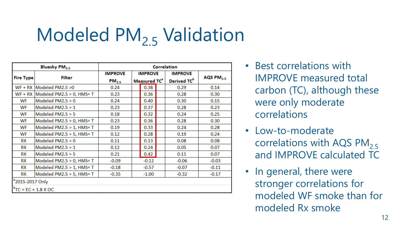# Modeled PM<sub>2.5</sub> Validation

| Bluesky PM <sub>2.5</sub>   |                                     | Correlation       |                                            |         |  |                         |             |
|-----------------------------|-------------------------------------|-------------------|--------------------------------------------|---------|--|-------------------------|-------------|
| <b>Fire Type</b>            | Filter                              | <b>IMPROVE</b>    | <b>IMPROVE</b><br>Measured TC <sup>a</sup> |         |  | <b>IMPROVE</b>          | AQS $PM2.5$ |
|                             |                                     | PM <sub>2.5</sub> |                                            |         |  | Derived TC <sup>b</sup> |             |
|                             | $WF + RX$ Modeled PM2.5 >0          | 0.24              |                                            | 0.38    |  | 0.29                    | 0.14        |
|                             | $WF + RX$ Modeled PM2.5 > 0, HMS= T | 0.23              |                                            | 0.36    |  | 0.28                    | 0.30        |
| WF                          | Modeled $PM2.5 > 0$                 | 0.24              |                                            | 0.40    |  | 0.30                    | 0.15        |
| WF                          | Modeled $PM2.5 > 1$                 | 0.23              |                                            | 0.37    |  | 0.28                    | 0.23        |
| WF                          | Modeled $PM2.5 > 5$                 | 0.18              |                                            | 0.32    |  | 0.24                    | 0.25        |
| WF                          | Modeled $PM2.5 > 0$ , $HMS = T$     | 0.23              |                                            | 0.36    |  | 0.28                    | 0.30        |
| WF                          | Modeled $PM2.5 > 1$ , $HMS = T$     | 0.19              |                                            | 0.33    |  | 0.24                    | 0.28        |
| WF                          | Modeled $PM2.5 > 5$ , $HMS = T$     | 0.12              |                                            | 0.28    |  | 0.19                    | 0.24        |
| RX                          | Modeled $PM2.5 > 0$                 | 0.11              |                                            | 0.13    |  | 0.08                    | 0.08        |
| RX                          | Modeled $PM2.5 > 1$                 | 0.12              |                                            | 0.24    |  | 0.05                    | 0.07        |
| RX                          | Modeled $PM2.5 > 5$                 | 0.21              |                                            | 0.42    |  | 0.11                    | 0.07        |
| RX                          | Modeled $PM2.5 > 0$ , $HMS = T$     | $-0.09$           | $-0.12$                                    |         |  | $-0.06$                 | $-0.03$     |
| RX                          | Modeled $PM2.5 > 1$ , $HMS = T$     | $-0.18$           |                                            | $-0.57$ |  | $-0.07$                 | $-0.11$     |
| RX                          | Modeled $PM2.5 > 5$ , $HMS = T$     | $-0.35$           | $-1.00$                                    |         |  | $-0.32$                 | $-0.17$     |
| <sup>a</sup> 2015-2017 Only |                                     |                   |                                            |         |  |                         |             |
| ${}^{b}TC = EC + 1.8 X OC$  |                                     |                   |                                            |         |  |                         |             |

- Best correlations with IMPROVE measured total carbon (TC), although these were only moderate correlations
- Low-to-moderate correlations with AQS PM<sub>2.5</sub> and IMPROVE calculated TC
- In general, there were stronger correlations for modeled WF smoke than for modeled Rx smoke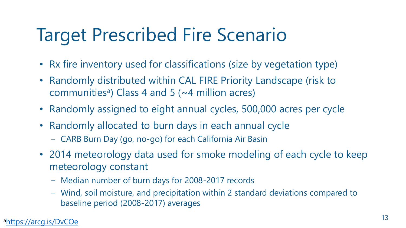## Target Prescribed Fire Scenario

- Rx fire inventory used for classifications (size by vegetation type)
- Randomly distributed within CAL FIRE Priority Landscape (risk to communities<sup>a</sup>) Class 4 and 5 ( $\sim$ 4 million acres)
- Randomly assigned to eight annual cycles, 500,000 acres per cycle
- Randomly allocated to burn days in each annual cycle
	- ‒ CARB Burn Day (go, no-go) for each California Air Basin
- 2014 meteorology data used for smoke modeling of each cycle to keep meteorology constant
	- ‒ Median number of burn days for 2008-2017 records
	- ‒ Wind, soil moisture, and precipitation within 2 standard deviations compared to baseline period (2008-2017) averages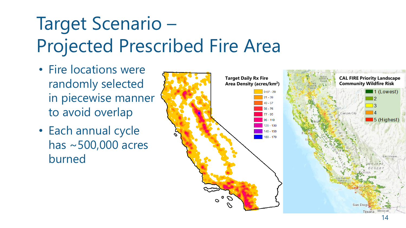# Target Scenario – Projected Prescribed Fire Area

- Fire locations were randomly selected in piecewise manner to avoid overlap
- Each annual cycle has ~500,000 acres burned

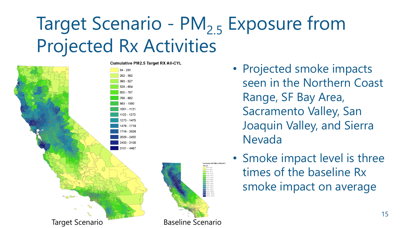# Target Scenario - PM<sub>25</sub> Exposure from Projected Rx Activities



- Projected smoke impacts seen in the Northern Coast Range, SF Bay Area, Sacramento Valley, San Joaquin Valley, and Sierra Nevada
- Smoke impact level is three times of the baseline Rx smoke impact on average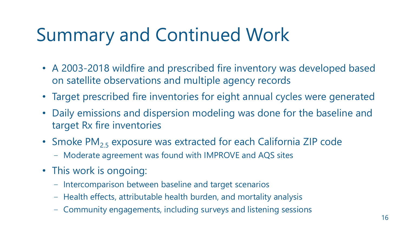# Summary and Continued Work

- A 2003-2018 wildfire and prescribed fire inventory was developed based on satellite observations and multiple agency records
- Target prescribed fire inventories for eight annual cycles were generated
- Daily emissions and dispersion modeling was done for the baseline and target Rx fire inventories
- Smoke  $PM_{2,5}$  exposure was extracted for each California ZIP code
	- ‒ Moderate agreement was found with IMPROVE and AQS sites
- This work is ongoing:
	- Intercomparison between baseline and target scenarios
	- ‒ Health effects, attributable health burden, and mortality analysis
	- ‒ Community engagements, including surveys and listening sessions